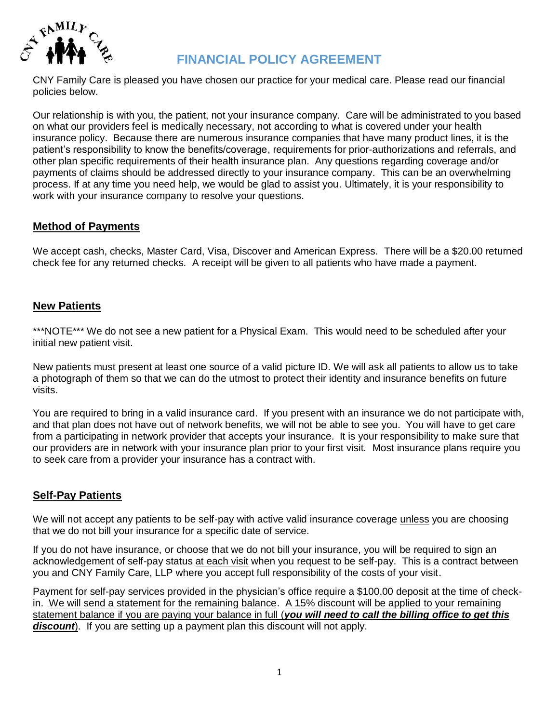

# **FINANCIAL POLICY AGREEMENT**

CNY Family Care is pleased you have chosen our practice for your medical care. Please read our financial policies below.

Our relationship is with you, the patient, not your insurance company. Care will be administrated to you based on what our providers feel is medically necessary, not according to what is covered under your health insurance policy. Because there are numerous insurance companies that have many product lines, it is the patient's responsibility to know the benefits/coverage, requirements for prior-authorizations and referrals, and other plan specific requirements of their health insurance plan. Any questions regarding coverage and/or payments of claims should be addressed directly to your insurance company. This can be an overwhelming process. If at any time you need help, we would be glad to assist you. Ultimately, it is your responsibility to work with your insurance company to resolve your questions.

# **Method of Payments**

We accept cash, checks, Master Card, Visa, Discover and American Express. There will be a \$20.00 returned check fee for any returned checks. A receipt will be given to all patients who have made a payment.

# **New Patients**

\*\*\*NOTE\*\*\* We do not see a new patient for a Physical Exam. This would need to be scheduled after your initial new patient visit.

New patients must present at least one source of a valid picture ID. We will ask all patients to allow us to take a photograph of them so that we can do the utmost to protect their identity and insurance benefits on future visits.

You are required to bring in a valid insurance card. If you present with an insurance we do not participate with, and that plan does not have out of network benefits, we will not be able to see you. You will have to get care from a participating in network provider that accepts your insurance. It is your responsibility to make sure that our providers are in network with your insurance plan prior to your first visit. Most insurance plans require you to seek care from a provider your insurance has a contract with.

# **Self-Pay Patients**

We will not accept any patients to be self-pay with active valid insurance coverage unless you are choosing that we do not bill your insurance for a specific date of service.

If you do not have insurance, or choose that we do not bill your insurance, you will be required to sign an acknowledgement of self-pay status at each visit when you request to be self-pay. This is a contract between you and CNY Family Care, LLP where you accept full responsibility of the costs of your visit.

Payment for self-pay services provided in the physician's office require a \$100.00 deposit at the time of checkin. We will send a statement for the remaining balance. A 15% discount will be applied to your remaining statement balance if you are paying your balance in full (*you will need to call the billing office to get this*  **discount**). If you are setting up a payment plan this discount will not apply.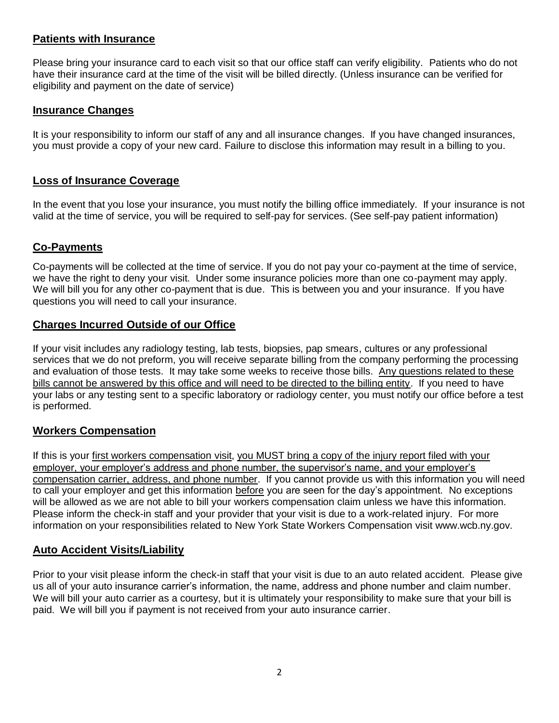# **Patients with Insurance**

Please bring your insurance card to each visit so that our office staff can verify eligibility. Patients who do not have their insurance card at the time of the visit will be billed directly. (Unless insurance can be verified for eligibility and payment on the date of service)

#### **Insurance Changes**

It is your responsibility to inform our staff of any and all insurance changes. If you have changed insurances, you must provide a copy of your new card. Failure to disclose this information may result in a billing to you.

### **Loss of Insurance Coverage**

In the event that you lose your insurance, you must notify the billing office immediately. If your insurance is not valid at the time of service, you will be required to self-pay for services. (See self-pay patient information)

### **Co-Payments**

Co-payments will be collected at the time of service. If you do not pay your co-payment at the time of service, we have the right to deny your visit. Under some insurance policies more than one co-payment may apply. We will bill you for any other co-payment that is due. This is between you and your insurance. If you have questions you will need to call your insurance.

### **Charges Incurred Outside of our Office**

If your visit includes any radiology testing, lab tests, biopsies, pap smears, cultures or any professional services that we do not preform, you will receive separate billing from the company performing the processing and evaluation of those tests. It may take some weeks to receive those bills. Any questions related to these bills cannot be answered by this office and will need to be directed to the billing entity. If you need to have your labs or any testing sent to a specific laboratory or radiology center, you must notify our office before a test is performed.

# **Workers Compensation**

If this is your first workers compensation visit, you MUST bring a copy of the injury report filed with your employer, your employer's address and phone number, the supervisor's name, and your employer's compensation carrier, address, and phone number. If you cannot provide us with this information you will need to call your employer and get this information before you are seen for the day's appointment. No exceptions will be allowed as we are not able to bill your workers compensation claim unless we have this information. Please inform the check-in staff and your provider that your visit is due to a work-related injury. For more information on your responsibilities related to New York State Workers Compensation visit www.wcb.ny.gov.

# **Auto Accident Visits/Liability**

Prior to your visit please inform the check-in staff that your visit is due to an auto related accident. Please give us all of your auto insurance carrier's information, the name, address and phone number and claim number. We will bill your auto carrier as a courtesy, but it is ultimately your responsibility to make sure that your bill is paid. We will bill you if payment is not received from your auto insurance carrier.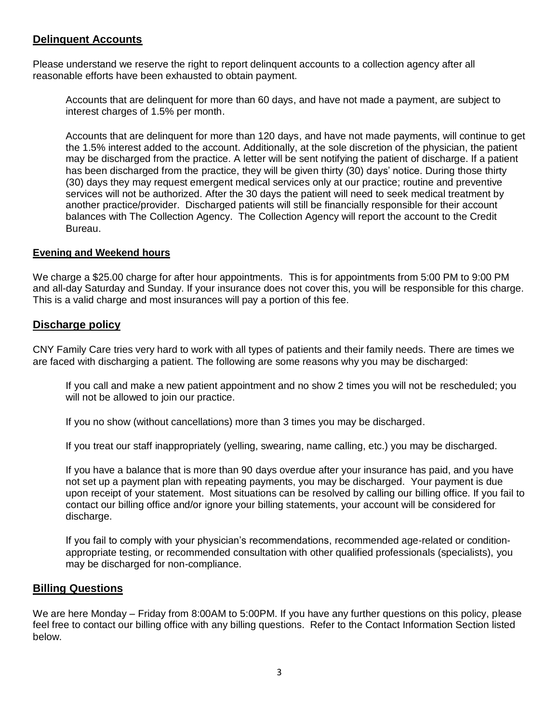## **Delinquent Accounts**

Please understand we reserve the right to report delinquent accounts to a collection agency after all reasonable efforts have been exhausted to obtain payment.

Accounts that are delinquent for more than 60 days, and have not made a payment, are subject to interest charges of 1.5% per month.

Accounts that are delinquent for more than 120 days, and have not made payments, will continue to get the 1.5% interest added to the account. Additionally, at the sole discretion of the physician, the patient may be discharged from the practice. A letter will be sent notifying the patient of discharge. If a patient has been discharged from the practice, they will be given thirty (30) days' notice. During those thirty (30) days they may request emergent medical services only at our practice; routine and preventive services will not be authorized. After the 30 days the patient will need to seek medical treatment by another practice/provider. Discharged patients will still be financially responsible for their account balances with The Collection Agency. The Collection Agency will report the account to the Credit Bureau.

#### **Evening and Weekend hours**

We charge a \$25.00 charge for after hour appointments. This is for appointments from 5:00 PM to 9:00 PM and all-day Saturday and Sunday. If your insurance does not cover this, you will be responsible for this charge. This is a valid charge and most insurances will pay a portion of this fee.

#### **Discharge policy**

CNY Family Care tries very hard to work with all types of patients and their family needs. There are times we are faced with discharging a patient. The following are some reasons why you may be discharged:

If you call and make a new patient appointment and no show 2 times you will not be rescheduled; you will not be allowed to join our practice.

If you no show (without cancellations) more than 3 times you may be discharged.

If you treat our staff inappropriately (yelling, swearing, name calling, etc.) you may be discharged.

If you have a balance that is more than 90 days overdue after your insurance has paid, and you have not set up a payment plan with repeating payments, you may be discharged. Your payment is due upon receipt of your statement. Most situations can be resolved by calling our billing office. If you fail to contact our billing office and/or ignore your billing statements, your account will be considered for discharge.

If you fail to comply with your physician's recommendations, recommended age-related or conditionappropriate testing, or recommended consultation with other qualified professionals (specialists), you may be discharged for non-compliance.

#### **Billing Questions**

We are here Monday – Friday from 8:00AM to 5:00PM. If you have any further questions on this policy, please feel free to contact our billing office with any billing questions. Refer to the Contact Information Section listed below.